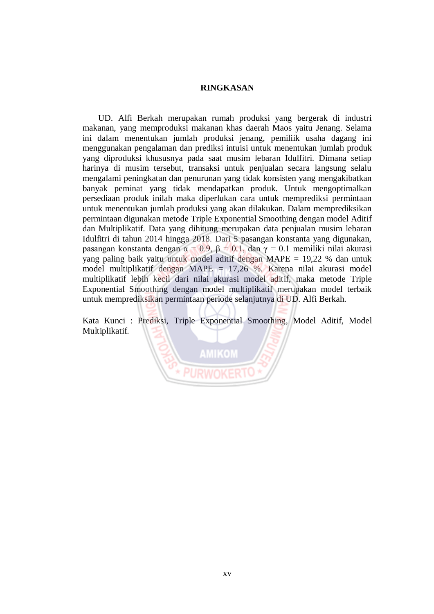## **RINGKASAN**

UD. Alfi Berkah merupakan rumah produksi yang bergerak di industri makanan, yang memproduksi makanan khas daerah Maos yaitu Jenang. Selama ini dalam menentukan jumlah produksi jenang, pemiliik usaha dagang ini menggunakan pengalaman dan prediksi intuisi untuk menentukan jumlah produk yang diproduksi khususnya pada saat musim lebaran Idulfitri. Dimana setiap harinya di musim tersebut, transaksi untuk penjualan secara langsung selalu mengalami peningkatan dan penurunan yang tidak konsisten yang mengakibatkan banyak peminat yang tidak mendapatkan produk. Untuk mengoptimalkan persediaan produk inilah maka diperlukan cara untuk memprediksi permintaan untuk menentukan jumlah produksi yang akan dilakukan. Dalam memprediksikan permintaan digunakan metode Triple Exponential Smoothing dengan model Aditif dan Multiplikatif. Data yang dihitung merupakan data penjualan musim lebaran Idulfitri di tahun 2014 hingga 2018. Dari 5 pasangan konstanta yang digunakan, pasangan konstanta dengan  $\alpha = 0.9$ ,  $\beta = 0.1$ , dan γ = 0.1 memiliki nilai akurasi yang paling baik yaitu untuk model aditif dengan MAPE = 19,22 % dan untuk model multiplikatif dengan MAPE = 17,26 %. Karena nilai akurasi model multiplikatif lebih kecil dari nilai akurasi model aditif, maka metode Triple Exponential Smoothing dengan model multiplikatif merupakan model terbaik untuk memprediksikan permintaan periode selanjutnya di UD. Alfi Berkah.

Kata Kunci : Prediksi, Triple Exponential Smoothing, Model Aditif, Model Multiplikatif.

**AMIKOM**